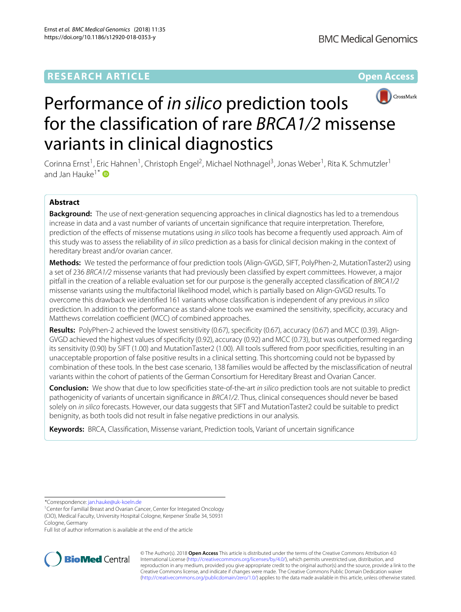# **RESEARCH ARTICLE Open Access**



# Performance of *in silico* prediction tools for the classification of rare *BRCA1/2* missense variants in clinical diagnostics

Corinna Ernst<sup>1</sup>, Eric Hahnen<sup>1</sup>, Christoph Engel<sup>2</sup>, Michael Nothnagel<sup>3</sup>, Jonas Weber<sup>1</sup>, Rita K. Schmutzler<sup>1</sup> and Jan Hauke<sup>1\*</sup>

## **Abstract**

**Background:** The use of next-generation sequencing approaches in clinical diagnostics has led to a tremendous increase in data and a vast number of variants of uncertain significance that require interpretation. Therefore, prediction of the effects of missense mutations using in silico tools has become a frequently used approach. Aim of this study was to assess the reliability of *in silico* prediction as a basis for clinical decision making in the context of hereditary breast and/or ovarian cancer.

**Methods:** We tested the performance of four prediction tools (Align-GVGD, SIFT, PolyPhen-2, MutationTaster2) using a set of 236 BRCA1/2 missense variants that had previously been classified by expert committees. However, a major pitfall in the creation of a reliable evaluation set for our purpose is the generally accepted classification of BRCA1/2 missense variants using the multifactorial likelihood model, which is partially based on Align-GVGD results. To overcome this drawback we identified 161 variants whose classification is independent of any previous in silico prediction. In addition to the performance as stand-alone tools we examined the sensitivity, specificity, accuracy and Matthews correlation coefficient (MCC) of combined approaches.

**Results:** PolyPhen-2 achieved the lowest sensitivity (0.67), specificity (0.67), accuracy (0.67) and MCC (0.39). Align-GVGD achieved the highest values of specificity (0.92), accuracy (0.92) and MCC (0.73), but was outperformed regarding its sensitivity (0.90) by SIFT (1.00) and MutationTaster2 (1.00). All tools suffered from poor specificities, resulting in an unacceptable proportion of false positive results in a clinical setting. This shortcoming could not be bypassed by combination of these tools. In the best case scenario, 138 families would be affected by the misclassification of neutral variants within the cohort of patients of the German Consortium for Hereditary Breast and Ovarian Cancer.

**Conclusion:** We show that due to low specificities state-of-the-art in silico prediction tools are not suitable to predict pathogenicity of variants of uncertain significance in BRCA1/2. Thus, clinical consequences should never be based solely on in silico forecasts. However, our data suggests that SIFT and MutationTaster2 could be suitable to predict benignity, as both tools did not result in false negative predictions in our analysis.

**Keywords:** BRCA, Classification, Missense variant, Prediction tools, Variant of uncertain significance

\*Correspondence: [jan.hauke@uk-koeln.de](mailto: jan.hauke@uk-koeln.de)

Full list of author information is available at the end of the article



© The Author(s). 2018 **Open Access** This article is distributed under the terms of the Creative Commons Attribution 4.0 International License [\(http://creativecommons.org/licenses/by/4.0/\)](http://creativecommons.org/licenses/by/4.0/), which permits unrestricted use, distribution, and reproduction in any medium, provided you give appropriate credit to the original author(s) and the source, provide a link to the Creative Commons license, and indicate if changes were made. The Creative Commons Public Domain Dedication waiver [\(http://creativecommons.org/publicdomain/zero/1.0/\)](http://creativecommons.org/publicdomain/zero/1.0/) applies to the data made available in this article, unless otherwise stated.

<sup>&</sup>lt;sup>1</sup> Center for Familial Breast and Ovarian Cancer, Center for Integated Oncology (CIO), Medical Faculty, University Hospital Cologne, Kerpener Straße 34, 50931 Cologne, Germany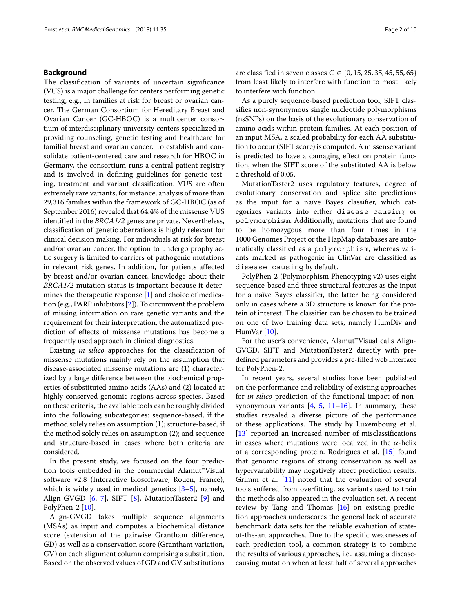## **Background**

The classification of variants of uncertain significance (VUS) is a major challenge for centers performing genetic testing, e.g., in families at risk for breast or ovarian cancer. The German Consortium for Hereditary Breast and Ovarian Cancer (GC-HBOC) is a multicenter consortium of interdisciplinary university centers specialized in providing counseling, genetic testing and healthcare for familial breast and ovarian cancer. To establish and consolidate patient-centered care and research for HBOC in Germany, the consortium runs a central patient registry and is involved in defining guidelines for genetic testing, treatment and variant classification. VUS are often extremely rare variants, for instance, analysis of more than 29,316 families within the framework of GC-HBOC (as of September 2016) revealed that 64.4% of the missense VUS identified in the *BRCA1/2* genes are private. Nevertheless, classification of genetic aberrations is highly relevant for clinical decision making. For individuals at risk for breast and/or ovarian cancer, the option to undergo prophylactic surgery is limited to carriers of pathogenic mutations in relevant risk genes. In addition, for patients affected by breast and/or ovarian cancer, knowledge about their *BRCA1/2* mutation status is important because it determines the therapeutic response [\[1\]](#page-8-0) and choice of medication (e.g., PARP inhibitors [\[2\]](#page-8-1)). To circumvent the problem of missing information on rare genetic variants and the requirement for their interpretation, the automatized prediction of effects of missense mutations has become a frequently used approach in clinical diagnostics.

Existing *in silico* approaches for the classification of missense mutations mainly rely on the assumption that disease-associated missense mutations are (1) characterized by a large difference between the biochemical properties of substituted amino acids (AAs) and (2) located at highly conserved genomic regions across species. Based on these criteria, the available tools can be roughly divided into the following subcategories: sequence-based, if the method solely relies on assumption (1); structure-based, if the method solely relies on assumption (2); and sequence and structure-based in cases where both criteria are considered.

In the present study, we focused on the four prediction tools embedded in the commercial Alamut™Visual software v2.8 (Interactive Biosoftware, Rouen, France), which is widely used in medical genetics  $[3-5]$  $[3-5]$ , namely, Align-GVGD [\[6,](#page-8-4) [7\]](#page-8-5), SIFT [\[8\]](#page-8-6), MutationTaster2 [\[9\]](#page-8-7) and PolyPhen-2 [\[10\]](#page-8-8).

Align-GVGD takes multiple sequence alignments (MSAs) as input and computes a biochemical distance score (extension of the pairwise Grantham difference, GD) as well as a conservation score (Grantham variation, GV) on each alignment column comprising a substitution. Based on the observed values of GD and GV substitutions

are classified in seven classes  $C \in \{0, 15, 25, 35, 45, 55, 65\}$ from least likely to interfere with function to most likely to interfere with function.

As a purely sequence-based prediction tool, SIFT classifies non-synonymous single nucleotide polymorphisms (nsSNPs) on the basis of the evolutionary conservation of amino acids within protein families. At each position of an input MSA, a scaled probability for each AA substitution to occur (SIFT score) is computed. A missense variant is predicted to have a damaging effect on protein function, when the SIFT score of the substituted AA is below a threshold of 0.05.

MutationTaster2 uses regulatory features, degree of evolutionary conservation and splice site predictions as the input for a naïve Bayes classifier, which categorizes variants into either disease causing or polymorphism. Additionally, mutations that are found to be homozygous more than four times in the 1000 Genomes Project or the HapMap databases are automatically classified as a polymorphism, whereas variants marked as pathogenic in ClinVar are classified as disease causing by default.

PolyPhen-2 (Polymorphism Phenotyping v2) uses eight sequence-based and three structural features as the input for a naïve Bayes classifier, the latter being considered only in cases where a 3D structure is known for the protein of interest. The classifier can be chosen to be trained on one of two training data sets, namely HumDiv and HumVar [\[10\]](#page-8-8).

For the user's convenience, Alamut™Visual calls Align-GVGD, SIFT and MutationTaster2 directly with predefined parameters and provides a pre-filled web interface for PolyPhen-2.

In recent years, several studies have been published on the performance and reliability of existing approaches for *in silico* prediction of the functional impact of nonsynonymous variants  $[4, 5, 11–16]$  $[4, 5, 11–16]$  $[4, 5, 11–16]$  $[4, 5, 11–16]$  $[4, 5, 11–16]$  $[4, 5, 11–16]$ . In summary, these studies revealed a diverse picture of the performance of these applications. The study by Luxembourg et al. [\[13\]](#page-8-12) reported an increased number of misclassifications in cases where mutations were localized in the  $\alpha$ -helix of a corresponding protein. Rodrigues et al. [\[15\]](#page-8-13) found that genomic regions of strong conservation as well as hypervariability may negatively affect prediction results. Grimm et al. [\[11\]](#page-8-10) noted that the evaluation of several tools suffered from overfitting, as variants used to train the methods also appeared in the evaluation set. A recent review by Tang and Thomas [\[16\]](#page-8-11) on existing prediction approaches underscores the general lack of accurate benchmark data sets for the reliable evaluation of stateof-the-art approaches. Due to the specific weaknesses of each prediction tool, a common strategy is to combine the results of various approaches, i.e., assuming a diseasecausing mutation when at least half of several approaches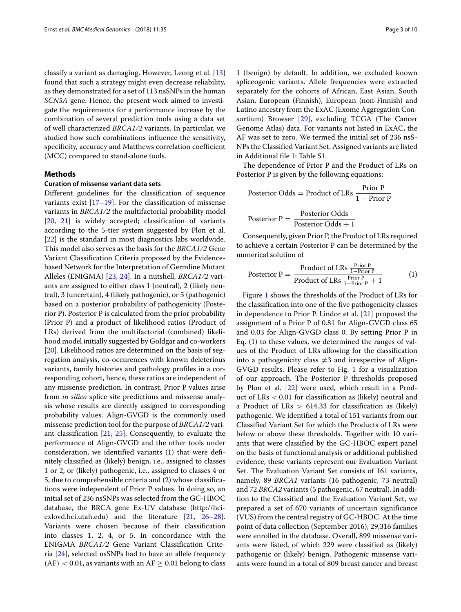classify a variant as damaging. However, Leong et al. [\[13\]](#page-8-12) found that such a strategy might even decrease reliability, as they demonstrated for a set of 113 nsSNPs in the human *SCN5A* gene. Hence, the present work aimed to investigate the requirements for a performance increase by the combination of several prediction tools using a data set of well characterized *BRCA1/2* variants. In particular, we studied how such combinations influence the sensitivity, specificity, accuracy and Matthews correlation coefficient (MCC) compared to stand-alone tools.

## **Methods**

## **Curation of missense variant data sets**

Different guidelines for the classification of sequence variants exist  $[17–19]$  $[17–19]$ . For the classification of missense variants in *BRCA1/2* the multifactorial probability model [\[20,](#page-8-16) [21\]](#page-8-17) is widely accepted; classification of variants according to the 5-tier system suggested by Plon et al. [\[22\]](#page-8-18) is the standard in most diagnostics labs worldwide. This model also serves as the basis for the *BRCA1/2* Gene Variant Classification Criteria proposed by the Evidencebased Network for the Interpretation of Germline Mutant Alleles (ENIGMA) [\[23,](#page-8-19) [24\]](#page-8-20). In a nutshell, *BRCA1/2* variants are assigned to either class 1 (neutral), 2 (likely neutral), 3 (uncertain), 4 (likely pathogenic), or 5 (pathogenic) based on a posterior probability of pathogenicity (Posterior P). Posterior P is calculated from the prior probability (Prior P) and a product of likelihood ratios (Product of LRs) derived from the multifactorial (combined) likelihood model initially suggested by Goldgar and co-workers [\[20\]](#page-8-16). Likelihood ratios are determined on the basis of segregation analysis, co-occurences with known deleterious variants, family histories and pathology profiles in a corresponding cohort, hence, these ratios are independent of any missense prediction. In contrast, Prior P values arise from *in silico* splice site predictions and missense analysis whose results are directly assigned to corresponding probability values. Align-GVGD is the commonly used missense prediction tool for the purpose of *BRCA1/2* variant classification  $[21, 25]$  $[21, 25]$  $[21, 25]$ . Consequently, to evaluate the performance of Align-GVGD and the other tools under consideration, we identified variants (1) that were definitely classified as (likely) benign, i.e., assigned to classes 1 or 2, or (likely) pathogenic, i.e., assigned to classes 4 or 5, due to comprehensible criteria and (2) whose classifications were independent of Prior P values. In doing so, an initial set of 236 nsSNPs was selected from the GC-HBOC database, the BRCA gene Ex-UV database (http://hciexlovd.hci.utah.edu) and the literature [\[21,](#page-8-17) [26–](#page-8-22)[28\]](#page-8-23). Variants were chosen because of their classification into classes 1, 2, 4, or 5. In concordance with the ENIGMA *BRCA1/2* Gene Variant Classification Criteria [\[24\]](#page-8-20), selected nsSNPs had to have an allele frequency  $(AF) < 0.01$ , as variants with an  $AF \geq 0.01$  belong to class

1 (benign) by default. In addition, we excluded known spliceogenic variants. Allele frequencies were extracted separately for the cohorts of African, East Asian, South Asian, European (Finnish), European (non-Finnish) and Latino ancestry from the ExAC (Exome Aggregation Consortium) Browser [\[29\]](#page-8-24), excluding TCGA (The Cancer Genome Atlas) data. For variants not listed in ExAC, the AF was set to zero. We termed the initial set of 236 nsS-NPs the Classified Variant Set. Assigned variants are listed in Additional file [1:](#page-7-0) Table S1.

The dependence of Prior P and the Product of LRs on Posterior P is given by the following equations:

Posterior Odds = Product of LRs 
$$
\frac{\text{Prior P}}{1 - \text{Prior P}}
$$

$$
Posterior P = \frac{Posterior Odds}{Posterior Odds + 1}
$$

Consequently, given Prior P, the Product of LRs required to achieve a certain Posterior P can be determined by the numerical solution of

<span id="page-2-0"></span>
$$
Posterior P = \frac{Product of LRs \frac{Prior P}{1 - Prior P}}{Product of LRs \frac{Prior P}{1 - Prior P} + 1}
$$
 (1)

Figure [1](#page-3-0) shows the thresholds of the Product of LRs for the classification into one of the five pathogenicity classes in dependence to Prior P. Lindor et al. [\[21\]](#page-8-17) proposed the assignment of a Prior P of 0.81 for Align-GVGD class 65 and 0.03 for Align-GVGD class 0. By setting Prior P in Eq. [\(1\)](#page-2-0) to these values, we determined the ranges of values of the Product of LRs allowing for the classification into a pathogenicity class  $\neq$ 3 and irrespective of Align-GVGD results. Please refer to Fig. [1](#page-3-0) for a visualization of our approach. The Posterior P thresholds proposed by Plon et al. [\[22\]](#page-8-18) were used, which result in a Product of LRs < 0.01 for classification as (likely) neutral and a Product of LRs  $> 614.33$  for classification as (likely) pathogenic. We identified a total of 151 variants from our Classified Variant Set for which the Products of LRs were below or above these thresholds. Together with 10 variants that were classified by the GC-HBOC expert panel on the basis of functional analysis or additional published evidence, these variants represent our Evaluation Variant Set. The Evaluation Variant Set consists of 161 variants, namely, 89 *BRCA1* variants (16 pathogenic, 73 neutral) and 72 *BRCA2* variants (5 pathogenic, 67 neutral). In addition to the Classified and the Evaluation Variant Set, we prepared a set of 670 variants of uncertain significance (VUS) from the central registry of GC-HBOC. At the time point of data collection (September 2016), 29,316 families were enrolled in the database. Overall, 899 missense variants were listed, of which 229 were classified as (likely) pathogenic or (likely) benign. Pathogenic missense variants were found in a total of 809 breast cancer and breast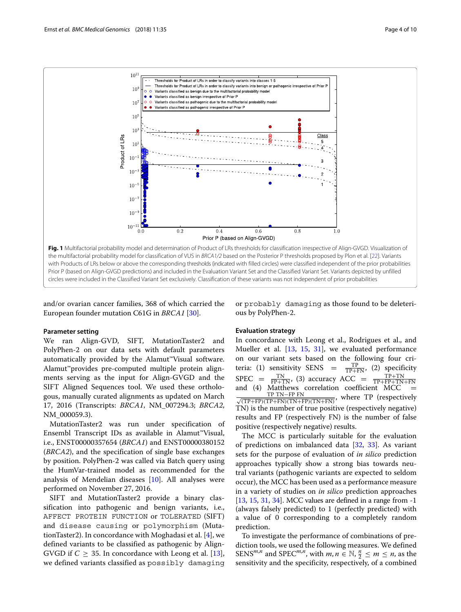

<span id="page-3-0"></span>and/or ovarian cancer families, 368 of which carried the European founder mutation C61G in *BRCA1* [\[30\]](#page-8-25).

or probably damaging as those found to be deleterious by PolyPhen-2.

## **Parameter setting**

We ran Align-GVD, SIFT, MutationTaster2 and PolyPhen-2 on our data sets with default parameters automatically provided by the Alamut™Visual software. Alamut™provides pre-computed multiple protein alignments serving as the input for Align-GVGD and the SIFT Aligned Sequences tool. We used these orthologous, manually curated alignments as updated on March 17, 2016 (Transcripts: *BRCA1*, NM\_007294.3; *BRCA2*, NM\_000059.3).

MutationTaster2 was run under specification of Ensembl Transcript IDs as available in Alamut™Visual, i.e., ENST00000357654 (*BRCA1*) and ENST00000380152 (*BRCA2*), and the specification of single base exchanges by position. PolyPhen-2 was called via Batch query using the HumVar-trained model as recommended for the analysis of Mendelian diseases [\[10\]](#page-8-8). All analyses were performed on November 27, 2016.

SIFT and MutationTaster2 provide a binary classification into pathogenic and benign variants, i.e., AFFECT PROTEIN FUNCTION or TOLERATED (SIFT) and disease causing or polymorphism (MutationTaster2). In concordance with Moghadasi et al. [\[4\]](#page-8-9), we defined variants to be classified as pathogenic by Align-GVGD if  $C > 35$ . In concordance with Leong et al. [\[13\]](#page-8-12), we defined variants classified as possibly damaging

## **Evaluation strategy**

In concordance with Leong et al., Rodrigues et al., and Mueller et al. [\[13,](#page-8-12) [15,](#page-8-13) [31\]](#page-8-26), we evaluated performance on our variant sets based on the following four criteria: (1) sensitivity SENS =  $\frac{TP}{TP+FN}$ , (2) specificity  $SPEC = \frac{TN}{FP+TN}$ , (3) accuracy ACC =  $\frac{TP+TN}{TP+FP+TN+FN}$ and (4) Matthews correlation coefficient MCC  $\frac{\text{TP} \text{TN}-\text{FP} \text{FN}}{\sqrt{\text{TP}+\text{FP}}\sqrt{\text{TP}+\text{FN}}\sqrt{\text{TN}+\text{FN}}}$  $\frac{IP \thinspace IN-FP \thinspace TN}{(TP+FP)(TP+FN)(TN+FP)(TN+FN)}$ , where TP (respectively TN) is the number of true positive (respectively negative) results and FP (respectively FN) is the number of false positive (respectively negative) results.

The MCC is particularly suitable for the evaluation of predictions on imbalanced data [\[32,](#page-9-0) [33\]](#page-9-1). As variant sets for the purpose of evaluation of *in silico* prediction approaches typically show a strong bias towards neutral variants (pathogenic variants are expected to seldom occur), the MCC has been used as a performance measure in a variety of studies on *in silico* prediction approaches [\[13,](#page-8-12) [15,](#page-8-13) [31,](#page-8-26) [34\]](#page-9-2). MCC values are defined in a range from -1 (always falsely predicted) to 1 (perfectly predicted) with a value of 0 corresponding to a completely random prediction.

To investigate the performance of combinations of prediction tools, we used the following measures. We defined SENS<sup>*m*,*n*</sup> and SPEC<sup>*m*,*n*</sup>, with *m*, *n* ∈  $\mathbb{N}$ ,  $\frac{n}{2} \le m \le n$ , as the sensitivity and the specificity, respectively, of a combined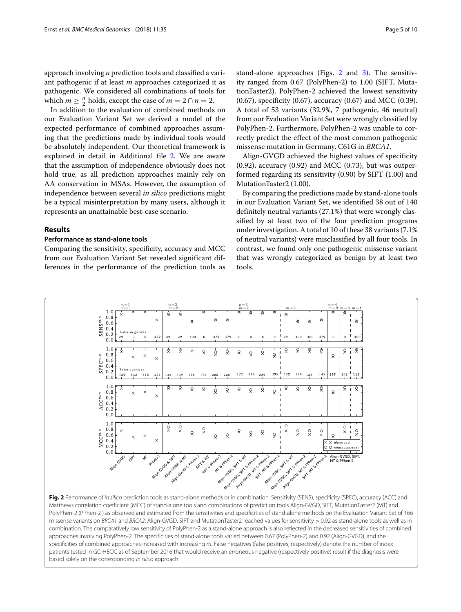approach involving *n* prediction tools and classified a variant pathogenic if at least *m* approaches categorized it as pathogenic. We considered all combinations of tools for which  $m \geq \frac{n}{2}$  holds, except the case of  $m = 2 \cap n = 2$ .

In addition to the evaluation of combined methods on our Evaluation Variant Set we derived a model of the expected performance of combined approaches assuming that the predictions made by individual tools would be absolutely independent. Our theoretical framework is explained in detail in Additional file [2.](#page-7-1) We are aware that the assumption of independence obviously does not hold true, as all prediction approaches mainly rely on AA conservation in MSAs. However, the assumption of independence between several *in silico* predictions might be a typical misinterpretation by many users, although it represents an unattainable best-case scenario.

## **Results**

## **Performance as stand-alone tools**

Comparing the sensitivity, specificity, accuracy and MCC from our Evaluation Variant Set revealed significant differences in the performance of the prediction tools as stand-alone approaches (Figs. [2](#page-4-0) and [3\)](#page-5-0). The sensitivity ranged from 0.67 (PolyPhen-2) to 1.00 (SIFT, MutationTaster2). PolyPhen-2 achieved the lowest sensitivity (0.67), specificity (0.67), accuracy (0.67) and MCC (0.39). A total of 53 variants (32.9%, 7 pathogenic, 46 neutral)

from our Evaluation Variant Set were wrongly classified by PolyPhen-2. Furthermore, PolyPhen-2 was unable to correctly predict the effect of the most common pathogenic missense mutation in Germany, C61G in *BRCA1*.

Align-GVGD achieved the highest values of specificity  $(0.92)$ , accuracy  $(0.92)$  and MCC  $(0.73)$ , but was outperformed regarding its sensitivity (0.90) by SIFT (1.00) and MutationTaster2 (1.00).

By comparing the predictions made by stand-alone tools in our Evaluation Variant Set, we identified 38 out of 140 definitely neutral variants (27.1%) that were wrongly classified by at least two of the four prediction programs under investigation. A total of 10 of these 38 variants (7.1% of neutral variants) were misclassified by all four tools. In contrast, we found only one pathogenic missense variant that was wrongly categorized as benign by at least two tools.



<span id="page-4-0"></span>missense variants on BRCA1 and BRCA2. Align-GVGD, SIFT and MutationTaster2 reached values for sensitivity > 0.92 as stand-alone tools as well as in combination. The comparatively low sensitivity of PolyPhen-2 as a stand-alone approach is also reflected in the decreased sensitivities of combined approaches involving PolyPhen-2. The specificities of stand-alone tools varied between 0.67 (PolyPhen-2) and 0.92 (Align-GVGD), and the specificities of combined approaches increased with increasing m. False negatives (false positives, respectively) denote the number of index patients tested in GC-HBOC as of September 2016 that would receive an erroneous negative (respectively positive) result if the diagnosis were based solely on the corresponding in silico approach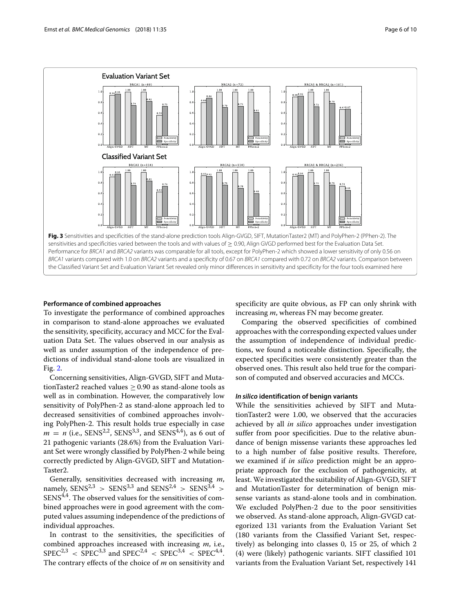

## <span id="page-5-0"></span>**Performance of combined approaches**

To investigate the performance of combined approaches in comparison to stand-alone approaches we evaluated the sensitivity, specificity, accuracy and MCC for the Evaluation Data Set. The values observed in our analysis as well as under assumption of the independence of predictions of individual stand-alone tools are visualized in Fig. [2.](#page-4-0)

Concerning sensitivities, Align-GVGD, SIFT and MutationTaster2 reached values  $\geq$  0.90 as stand-alone tools as well as in combination. However, the comparatively low sensitivity of PolyPhen-2 as stand-alone approach led to decreased sensitivities of combined approaches involving PolyPhen-2. This result holds true especially in case  $m = n$  (i.e., SENS<sup>2,2</sup>, SENS<sup>3,3</sup>, and SENS<sup>4,4</sup>), as 6 out of 21 pathogenic variants (28.6%) from the Evaluation Variant Set were wrongly classified by PolyPhen-2 while being correctly predicted by Align-GVGD, SIFT and Mutation-Taster2.

Generally, sensitivities decreased with increasing *m*, namely,  $SENS^{2,3}$  >  $SENS^{3,3}$  and  $SENS^{2,4}$  >  $SENS^{3,4}$  > SENS<sup>4,4</sup>. The observed values for the sensitivities of combined approaches were in good agreement with the computed values assuming independence of the predictions of individual approaches.

In contrast to the sensitivities, the specificities of combined approaches increased with increasing *m*, i.e.,  $SPEC^{2,3} <$  SPEC<sup>3,3</sup> and SPEC<sup>2,4</sup> < SPEC<sup>3,4</sup> < SPEC<sup>4,4</sup>. The contrary effects of the choice of *m* on sensitivity and specificity are quite obvious, as FP can only shrink with increasing *m*, whereas FN may become greater.

Comparing the observed specificities of combined approaches with the corresponding expected values under the assumption of independence of individual predictions, we found a noticeable distinction. Specifically, the expected specificities were consistently greater than the observed ones. This result also held true for the comparison of computed and observed accuracies and MCCs.

## *In silico* **identification of benign variants**

While the sensitivities achieved by SIFT and MutationTaster2 were 1.00, we observed that the accuracies achieved by all *in silico* approaches under investigation suffer from poor specificities. Due to the relative abundance of benign missense variants these approaches led to a high number of false positive results. Therefore, we examined if *in silico* prediction might be an appropriate approach for the exclusion of pathogenicity, at least. We investigated the suitability of Align-GVGD, SIFT and MutationTaster for determination of benign missense variants as stand-alone tools and in combination. We excluded PolyPhen-2 due to the poor sensitivities we observed. As stand-alone approach, Align-GVGD categorized 131 variants from the Evaluation Variant Set (180 variants from the Classified Variant Set, respectively) as belonging into classes 0, 15 or 25, of which 2 (4) were (likely) pathogenic variants. SIFT classified 101 variants from the Evaluation Variant Set, respectively 141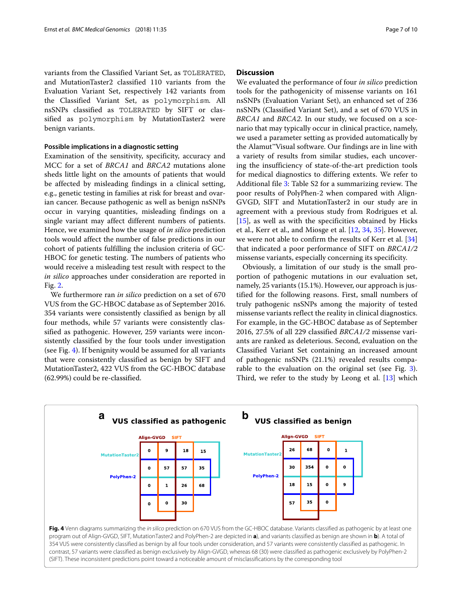variants from the Classified Variant Set, as TOLERATED, and MutationTaster2 classified 110 variants from the Evaluation Variant Set, respectively 142 variants from the Classified Variant Set, as polymorphism. All nsSNPs classified as TOLERATED by SIFT or classified as polymorphism by MutationTaster2 were benign variants.

## **Possible implications in a diagnostic setting**

Examination of the sensitivity, specificity, accuracy and MCC for a set of *BRCA1* and *BRCA2* mutations alone sheds little light on the amounts of patients that would be affected by misleading findings in a clinical setting, e.g., genetic testing in families at risk for breast and ovarian cancer. Because pathogenic as well as benign nsSNPs occur in varying quantities, misleading findings on a single variant may affect different numbers of patients. Hence, we examined how the usage of *in silico* prediction tools would affect the number of false predictions in our cohort of patients fulfilling the inclusion criteria of GC-HBOC for genetic testing. The numbers of patients who would receive a misleading test result with respect to the *in silico* approaches under consideration are reported in Fig. [2.](#page-4-0)

We furthermore ran *in silico* prediction on a set of 670 VUS from the GC-HBOC database as of September 2016. 354 variants were consistently classified as benign by all four methods, while 57 variants were consistently classified as pathogenic. However, 259 variants were inconsistently classified by the four tools under investigation (see Fig. [4\)](#page-6-0). If benignity would be assumed for all variants that were consistently classified as benign by SIFT and MutationTaster2, 422 VUS from the GC-HBOC database (62.99%) could be re-classified.

## **Discussion**

We evaluated the performance of four *in silico* prediction tools for the pathogenicity of missense variants on 161 nsSNPs (Evaluation Variant Set), an enhanced set of 236 nsSNPs (Classified Variant Set), and a set of 670 VUS in *BRCA1* and *BRCA2*. In our study, we focused on a scenario that may typically occur in clinical practice, namely, we used a parameter setting as provided automatically by the Alamut™Visual software. Our findings are in line with a variety of results from similar studies, each uncovering the insufficiency of state-of-the-art prediction tools for medical diagnostics to differing extents. We refer to Additional file [3:](#page-7-2) Table S2 for a summarizing review. The poor results of PolyPhen-2 when compared with Align-GVGD, SIFT and MutationTaster2 in our study are in agreement with a previous study from Rodrigues et al. [\[15\]](#page-8-13), as well as with the specificities obtained by Hicks et al., Kerr et al., and Miosge et al. [\[12,](#page-8-27) [34,](#page-9-2) [35\]](#page-9-3). However, we were not able to confirm the results of Kerr et al. [\[34\]](#page-9-2) that indicated a poor performance of SIFT on *BRCA1/2* missense variants, especially concerning its specificity.

Obviously, a limitation of our study is the small proportion of pathogenic mutations in our evaluation set, namely, 25 variants (15.1%). However, our approach is justified for the following reasons. First, small numbers of truly pathogenic nsSNPs among the majority of tested missense variants reflect the reality in clinical diagnostics. For example, in the GC-HBOC database as of September 2016, 27.5% of all 229 classified *BRCA1/2* missense variants are ranked as deleterious. Second, evaluation on the Classified Variant Set containing an increased amount of pathogenic nsSNPs (21.1%) revealed results comparable to the evaluation on the original set (see Fig. [3\)](#page-5-0). Third, we refer to the study by Leong et al. [\[13\]](#page-8-12) which

<span id="page-6-0"></span>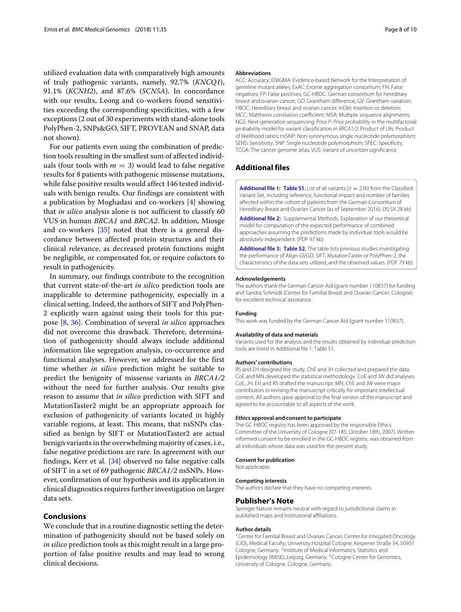utilized evaluation data with comparatively high amounts of truly pathogenic variants, namely, 92.7% (*KNCQ1*), 91.1% (*KCNH2*), and 87.6% (*SCN5A*). In concordance with our results, Leong and co-workers found sensitivities exceeding the corresponding specificities, with a few exceptions (2 out of 30 experiments with stand-alone tools PolyPhen-2, SNPs&GO, SIFT, PROVEAN and SNAP, data not shown).

For our patients even using the combination of prediction tools resulting in the smallest sum of affected individuals (four tools with  $m = 3$ ) would lead to false negative results for 8 patients with pathogenic missense mutations, while false positive results would affect 146 tested individuals with benign results. Our findings are consistent with a publication by Moghadasi and co-workers [\[4\]](#page-8-9) showing that *in silico* analysis alone is not sufficient to classify 60 VUS in human *BRCA1* and *BRCA2*. In addition, Miosge and co-workers [\[35\]](#page-9-3) noted that there is a general discordance between affected protein structures and their clinical relevance, as decreased protein functions might be negligible, or compensated for, or require cofactors to result in pathogenicity.

In summary, our findings contribute to the recognition that current state-of-the-art *in silico* prediction tools are inapplicable to determine pathogenicity, especially in a clinical setting. Indeed, the authors of SIFT and PolyPhen-2 explicitly warn against using their tools for this purpose [\[8,](#page-8-6) [36\]](#page-9-4). Combination of several *in silico* approaches did not overcome this drawback. Therefore, determination of pathogenicity should always include additional information like segregation analysis, co-occurrence and functional analyses. However, we addressed for the first time whether *in silico* prediction might be suitable to predict the benignity of missense variants in *BRCA1/2* without the need for further analysis. Our results give reason to assume that *in silico* prediction with SIFT and MutationTaster2 might be an appropriate approach for exclusion of pathogenicity of variants located in highly variable regions, at least. This means, that nsSNPs classified as benign by SIFT or MutationTaster2 are actual benign variants in the overwhelming majority of cases, i.e., false negative predictions are rare. In agreement with our findings, Kerr et al. [\[34\]](#page-9-2) observed no false negative calls of SIFT in a set of 69 pathogenic *BRCA1/2* nsSNPs. However, confirmation of our hypothesis and its application in clinical diagnostics requires further investigation on larger data sets.

## **Conclusions**

We conclude that in a routine diagnostic setting the determination of pathogenicity should not be based solely on *in silico* prediction tools as this might result in a large proportion of false positive results and may lead to wrong clinical decisions.

#### **Abbreviations**

ACC: Accuracy; ENIGMA: Evidence-based Network for the Interpretation of germline mutant alleles; ExAC: Exome aggregation consortium; FN: False negatives; FP: False positives; GC-HBOC: German consortium for hereditary breast and ovarian cancer; GD: Grantham difference; GV: Grantham variation; HBOC: Hereditary breast and ovarian cancer; InDel: Insertion or deletion; MCC: Matthews correlation coefficient; MSA: Multiple sequence alignments; NGS: Next-generation sequencing; Prior P: Prior probability in the multifactorial probability model for variant classification in BRCA1/2; Product of LRs: Product of likelihood ratios; nsSNP: Non-synonymous single nucleotide polymorphism; SENS: Sensitivity; SNP: Single nucleotide polymorphism; SPEC: Specificity; TCGA: The cancer genome atlas; VUS: Variant of uncertain significance

## **Additional files**

<span id="page-7-0"></span>**[Additional file 1:](https://doi.org/10.1186/s12920-018-0353-y) [Table S1.](https://doi.org/10.1186/s12920-018-0353-yxlsx)** List of all variants ( $n = 236$ ) from the Classified Variant Set, including reference, functional impact and number of families affected within the cohort of patients from the German Consortium of Hereditary Breast and Ovarian Cancer (as of September 2016). (XLSX 28 kb)

<span id="page-7-1"></span>**[Additional file 2:](https://doi.org/10.1186/s12920-018-0353-y)** Supplemental Methods. Explanation of our theoretical model for computation of the expected performance of combined approaches assuming the predictions made by individual tools would be absolutely independent. (PDF 97 kb)

<span id="page-7-2"></span>**[Additional file 3:](https://doi.org/10.1186/s12920-018-0353-y) [Table S2.](https://doi.org/10.1186/s12920-018-0353-ypdf)** The table lists previous studies investigating the performance of Align-GVGD, SIFT, MutationTaster or PolyPhen-2, the characteristics of the data sets utilized, and the observed values. (PDF 79 kb)

#### **Acknowledgements**

The authors thank the German Cancer Aid (grant number 110837) for funding and Sandra Schmidt (Center for Familial Breast and Ovarian Cancer, Cologne) for excellent technical assistance.

#### **Funding**

This work was funded by the German Cancer Aid (grant number 110837).

#### **Availability of data and materials**

Variants used for the analysis and the results obtained by individual prediction tools are listed in Additional file [1:](#page-7-0) Table S1.

#### **Authors' contributions**

RS and EH designed the study. ChE and JH collected and prepared the data. CoE and MN developed the statistical methodology. CoE and JW did analyses. CoE, JH, EH and RS drafted the manuscript. MN, ChE and JW were major contributors in revising the manuscript critically for important intellectual content. All authors gave approval to the final version of the manuscript and agreed to be accountable to all aspects of the work.

#### **Ethics approval and consent to participate**

The GC-HBOC registry has been approved by the responsible Ethics Committee of the University of Cologne (07-185, October 18th, 2007). Written informed consent to be enrolled in the GC-HBOC registry, was obtained from all individuals whose data was used for the present study.

## **Consent for publication**

Not applicable.

#### **Competing interests**

The authors declare that they have no competing interests.

## **Publisher's Note**

Springer Nature remains neutral with regard to jurisdictional claims in published maps and institutional affiliations.

#### **Author details**

<sup>1</sup> Center for Familial Breast and Ovarian Cancer, Center for Integated Oncology (CIO), Medical Faculty, University Hospital Cologne, Kerpener Straße 34, 50931 Cologne, Germany. 2Institute of Medical Informatics, Statistics and Epidemiology (IMISE), Leipzig, Germany. 3Cologne Center for Genomics, University of Cologne, Cologne, Germany.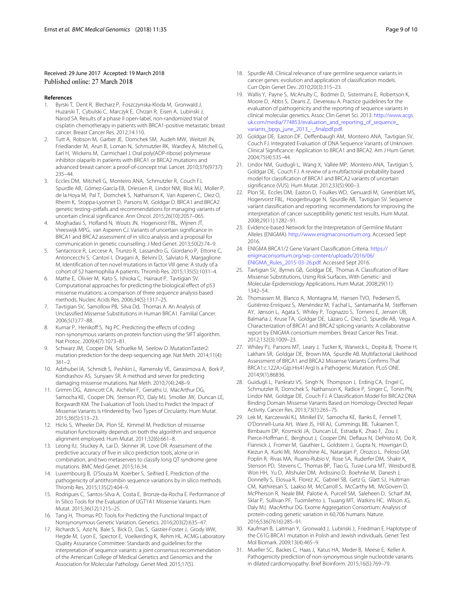## Received: 29 June 2017 Accepted: 19 March 2018 Published online: 27 March 2018

#### **References**

- <span id="page-8-0"></span>1. Byrski T, Dent R, Blecharz P, Foszczynska-Kloda M, Gronwald J, Huzarski T, Cybulski C, Marczyk E, Chrzan R, Eisen A, Lubinski J, Narod SA. Results of a phase II open-label, non-randomized trial of cisplatin chemotherapy in patients with BRCA1-positive metastatic breast cancer. Breast Cancer Res. 2012;14:110.
- <span id="page-8-1"></span>2. Tutt A, Robson M, Garber JE, Domchek SM, Audeh MW, Weitzel JN, Friedlander M, Arun B, Loman N, Schmutzler RK, Wardley A, Mitchell G, Earl H, Wickens M, Carmichael J. Oral poly(ADP-ribose) polymerase inhibitor olaparib in patients with BRCA1 or BRCA2 mutations and advanced breast cancer: a proof-of-concept trial. Lancet. 2010;376(9737): 235–44.
- <span id="page-8-2"></span>3. Eccles DM, Mitchell G, Monteiro ANA, Schmutzler R, Couch FJ, Spurdle AB, Gómez-García EB, Driessen R, Lindor NM, Blok MJ, Moller P, de la Hoya M, Pal T, Domchek S, Nathanson K, Van Asperen C, Diez O, Rheim K, Stoppa-Lyonnet D, Parsons M, Goldgar D. BRCA1 and BRCA2 genetic testing–pitfalls and recommendations for managing variants of uncertain clinical significance. Ann Oncol. 2015;26(10):2057–065.
- <span id="page-8-9"></span>4. Moghadasi S, Hofland N, Wouts JN, Hogervorst FBL, Wijnen JT, Vreeswijk MPG, van Asperen CJ. Variants of uncertain significance in BRCA1 and BRCA2 assessment of in silico analysis and a proposal for communication in genetic counselling. J Med Genet. 2013;50(2):74–9.
- <span id="page-8-3"></span>5. Santacroce R, Leccese A, Trunzo R, Lassandro G, Giordano P, Ettorre C, Antoncecchi S, Cantori I, Dragani A, Belvini D, Salviato R, Margaglione M. Identification of ten novel mutations in factor VIII gene: A study of a cohort of 52 haemophilia A patients. Thromb Res. 2015;135(5):1031–4.
- <span id="page-8-4"></span>6. Mathe E, Olivier M, Kato S, Ishioka C, Hainaut P, Tavtigian SV. Computational approaches for predicting the biological effect of p53 missense mutations: a comparison of three sequence analysis based methods. Nucleic Acids Res. 2006;34(5):1317–25.
- <span id="page-8-5"></span>7. Tavtigian SV, Samollow PB, Silva Dd, Thomas A. An Analysis of Unclassified Missense Substitutions in Human BRCA1. Familial Cancer. 2006;5(1):77–88.
- <span id="page-8-6"></span>8. Kumar P, Henikoff S, Ng PC. Predicting the effects of coding non-synonymous variants on protein function using the SIFT algorithm. Nat Protoc. 2009;4(7):1073–81.
- <span id="page-8-7"></span>Schwarz JM, Cooper DN, Schuelke M, Seelow D. MutationTaster2: mutation prediction for the deep-sequencing age. Nat Meth. 2014;11(4):  $361 - 2$
- <span id="page-8-8"></span>10. Adzhubei IA, Schmidt S, Peshkin L, Ramensky VE, Gerasimova A, Bork P, Kondrashov AS, Sunyaev SR. A method and server for predicting damaging missense mutations. Nat Meth. 2010;7(4):248–9.
- <span id="page-8-10"></span>11. Grimm DG, Azencott CA, Aicheler F, Gieraths U, MacArthur DG, Samocha KE, Cooper DN, Stenson PD, Daly MJ, Smoller JW, Duncan LE, Borgwardt KM. The Evaluation of Tools Used to Predict the Impact of Missense Variants Is Hindered by Two Types of Circularity. Hum Mutat. 2015;36(5):513–23.
- <span id="page-8-27"></span>12. Hicks S, Wheeler DA, Plon SE, Kimmel M. Prediction of missense mutation functionality depends on both the algorithm and sequence alignment employed. Hum Mutat. 2011;32(6):661–8.
- <span id="page-8-12"></span>13. Leong IU, Stuckey A, Lai D, Skinner JR, Love DR. Assessment of the predictive accuracy of five in silico prediction tools, alone or in combination, and two metaservers to classify long QT syndrome gene mutations. BMC Med Genet. 2015;16:34.
- 14. Luxembourg B, D'Souza M, Koerber S, Seifried E. Prediction of the pathogenicity of antithrombin sequence variations by in silico methods. Thromb Res. 2015;135(2):404–9.
- <span id="page-8-13"></span>15. Rodrigues C, Santos-Silva A, Costa E, Bronze-da-Rocha E. Performance of In Silico Tools for the Evaluation of UGT1A1 Missense Variants. Hum Mutat. 2015;36(12):1215–25.
- <span id="page-8-11"></span>16. Tang H, Thomas PD. Tools for Predicting the Functional Impact of Nonsynonymous Genetic Variation. Genetics. 2016;203(2):635–47.
- <span id="page-8-14"></span>17. Richards S, Aziz N, Bale S, Bick D, Das S, Gastier-Foster J, Grody WW, Hegde M, Lyon E, Spector E, Voelkerding K, Rehm HL. ACMG Laboratory Quality Assurance Committee: Standards and guidelines for the interpretation of sequence variants: a joint consensus recommendation of the American College of Medical Genetics and Genomics and the Association for Molecular Pathology. Genet Med. 2015;17(5).
- 18. Spurdle AB. Clinical relevance of rare germline sequence variants in cancer genes: evolution and application of classification models. Curr Opin Genet Dev. 2010;20(3):315–23.
- <span id="page-8-15"></span>19. Wallis Y, Payne S, McAnulty C, Bodmer D, Sistermans E, Robertson K, Moore D, Abbs S, Deans Z, Devereau A. Practice guidelines for the evaluation of pathogenicity and the reporting of sequence variants in clinical molecular genetics. Assoc Clin Genet Sci. 2013. [http://www.acgs.](http://www.acgs.uk.com/media/774853/evaluation_and_reporting_of_sequence_variants_bpgs_june_2013_-_finalpdf.pdf) [uk.com/media/774853/evaluation\\_and\\_reporting\\_of\\_sequence\\_](http://www.acgs.uk.com/media/774853/evaluation_and_reporting_of_sequence_variants_bpgs_june_2013_-_finalpdf.pdf) [variants\\_bpgs\\_june\\_2013\\_-\\_finalpdf.pdf.](http://www.acgs.uk.com/media/774853/evaluation_and_reporting_of_sequence_variants_bpgs_june_2013_-_finalpdf.pdf)
- <span id="page-8-16"></span>20. Goldgar DE, Easton DF, Deffenbaugh AM, Monteiro ANA, Tavtigian SV, Couch FJ. Integrated Evaluation of DNA Sequence Variants of Unknown Clinical Significance: Application to BRCA1 and BRCA2. Am J Hum Genet. 2004;75(4):535–44.
- <span id="page-8-17"></span>21. Lindor NM, Guidugli L, Wang X, Vallée MP, Monteiro ANA, Tavtigian S, Goldgar DE, Couch FJ. A review of a multifactorial probability based model for classification of BRCA1 and BRCA2 variants of uncertain significance (VUS). Hum Mutat. 2012;33(5):900–3.
- <span id="page-8-18"></span>22. Plon SE, Eccles DM, Easton D, Foulkes WD, Genuardi M, Greenblatt MS, Hogervorst FBL, Hoogerbrugge N, Spurdle AB, Tavtigian SV. Sequence variant classification and reporting: recommendations for improving the interpretation of cancer susceptibility genetic test results. Hum Mutat. 2008;29(11):1282–91.
- <span id="page-8-19"></span>23. Evidence-based Network for the Interpretation of Germline Mutant Alleles (ENIGMA). [http://www.enigmaconsortium.org.](http://www.enigmaconsortium.org) Accessed Sept 2016.
- <span id="page-8-20"></span>24. ENIGMA BRCA1/2 Gene Variant Classification Criteria. [https://](https://enigmaconsortium.org/wp-content/uploads/2016/06/ENIGMA_Rules_2015-03-26.pdf) [enigmaconsortium.org/wp-content/uploads/2016/06/](https://enigmaconsortium.org/wp-content/uploads/2016/06/ENIGMA_Rules_2015-03-26.pdf) [ENIGMA\\_Rules\\_2015-03-26.pdf.](https://enigmaconsortium.org/wp-content/uploads/2016/06/ENIGMA_Rules_2015-03-26.pdf) Accessed Sept 2016.
- <span id="page-8-21"></span>25. Tavtigian SV, Byrnes GB, Goldgar DE, Thomas A. Classification of Rare Missense Substitutions, Using Risk Surfaces, With Genetic- and Molecular-Epidemiology Applications. Hum Mutat. 2008;29(11): 1342–54.
- <span id="page-8-22"></span>26. Thomassen M, Blanco A, Montagna M, Hansen TVO, Pedersen IS, Gutiérrez-Enríquez S, Menéndez M, Fachal L, Santamariña M, Steffensen AY, Jønson L, Agata S, Whiley P, Tognazzo S, Tornero E, Jensen UB, Balmaña J, Kruse TA, Goldgar DE, Lázaro C, Diez O, Spurdle AB, Vega A. Characterization of BRCA1 and BRCA2 splicing variants: A collaborative report by ENIGMA consortium members. Breast Cancer Res Treat. 2012;132(3):1009–23.
- 27. Whiley PJ, Parsons MT, Leary J, Tucker K, Warwick L, Dopita B, Thorne H, Lakhani SR, Goldgar DE, Brown MA, Spurdle AB. Multifactorial Likelihood Assessment of BRCA1 and BRCA2 Missense Variants Confirms That BRCA1:c.122A>G(p.His41Arg) Is a Pathogenic Mutation. PLoS ONE. 2014;9(1):86836.
- <span id="page-8-23"></span>28. Guidugli L, Pankratz VS, Singh N, Thompson J, Erding CA, Engel C, Schmutzler R, Domchek S, Nathanson K, Radice P, Singer C, Tonin PN, Lindor NM, Goldgar DE, Couch FJ. A Classification Model for BRCA2 DNA Binding Domain Missense Variants Based on Homology-Directed Repair Activity. Cancer Res. 2013;73(1):265–75.
- <span id="page-8-24"></span>29. Lek M, Karczewski KJ, Minikel EV, Samocha KE, Banks E, Fennell T, O'Donnell-Luria AH, Ware JS, Hill AJ, Cummings BB, Tukiainen T, Birnbaum DP, Kosmicki JA, Duncan LE, Estrada K, Zhao F, Zou J, Pierce-Hoffman E, Berghout J, Cooper DN, Deflaux N, DePristo M, Do R, Flannick J, Fromer M, Gauthier L, Goldstein J, Gupta N, Howrigan D, Kiezun A, Kurki MI, Moonshine AL, Natarajan P, Orozco L, Peloso GM, Poplin R, Rivas MA, Ruano-Rubio V, Rose SA, Ruderfer DM, Shakir K, Stenson PD, Stevens C, Thomas BP, Tiao G, Tusie-Luna MT, Weisburd B, Won HH, Yu D, Altshuler DM, Ardissino D, Boehnke M, Danesh J, Donnelly S, Elosua R, Florez JC, Gabriel SB, Getz G, Glatt SJ, Hultman CM, Kathiresan S, Laakso M, McCarroll S, McCarthy MI, McGovern D, McPherson R, Neale BM, Palotie A, Purcell SM, Saleheen D, Scharf JM, Sklar P, Sullivan PF, Tuomilehto J, Tsuang MT, Watkins HC, Wilson JG, Daly MJ, MacArthur DG. Exome Aggregation Consortium: Analysis of protein-coding genetic variation in 60,706 humans. Nature. 2016;536(7616):285–91.
- <span id="page-8-25"></span>30. Kaufman B, Laitman Y, Gronwald J, Lubinski J, Friedman E. Haplotype of the C61G BRCA1 mutation in Polish and Jewish individuals. Genet Test Mol Biomark. 2009;13(4):465–9.
- <span id="page-8-26"></span>31. Mueller SC, Backes C, Haas J, Katus HA, Meder B, Meese E, Keller A. Pathogenicity prediction of non-synonymous single nucleotide variants in dilated cardiomyopathy. Brief Bioinform. 2015;16(5):769–79.